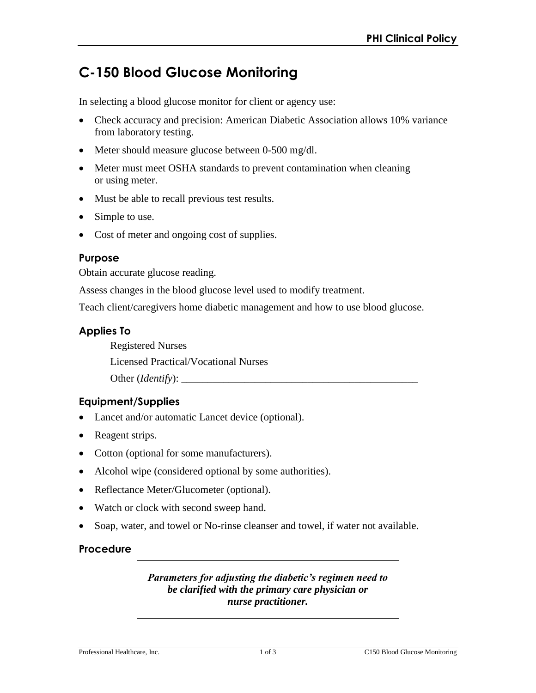# **C-150 Blood Glucose Monitoring**

In selecting a blood glucose monitor for client or agency use:

- Check accuracy and precision: American Diabetic Association allows 10% variance from laboratory testing.
- Meter should measure glucose between 0-500 mg/dl.
- Meter must meet OSHA standards to prevent contamination when cleaning or using meter.
- Must be able to recall previous test results.
- Simple to use.
- Cost of meter and ongoing cost of supplies.

#### **Purpose**

Obtain accurate glucose reading.

Assess changes in the blood glucose level used to modify treatment.

Teach client/caregivers home diabetic management and how to use blood glucose.

#### **Applies To**

Registered Nurses

Licensed Practical/Vocational Nurses

Other (*Identify*):

## **Equipment/Supplies**

- Lancet and/or automatic Lancet device (optional).
- Reagent strips.
- Cotton (optional for some manufacturers).
- Alcohol wipe (considered optional by some authorities).
- Reflectance Meter/Glucometer (optional).
- Watch or clock with second sweep hand.
- Soap, water, and towel or No-rinse cleanser and towel, if water not available.

#### **Procedure**

*Parameters for adjusting the diabetic's regimen need to be clarified with the primary care physician or nurse practitioner.*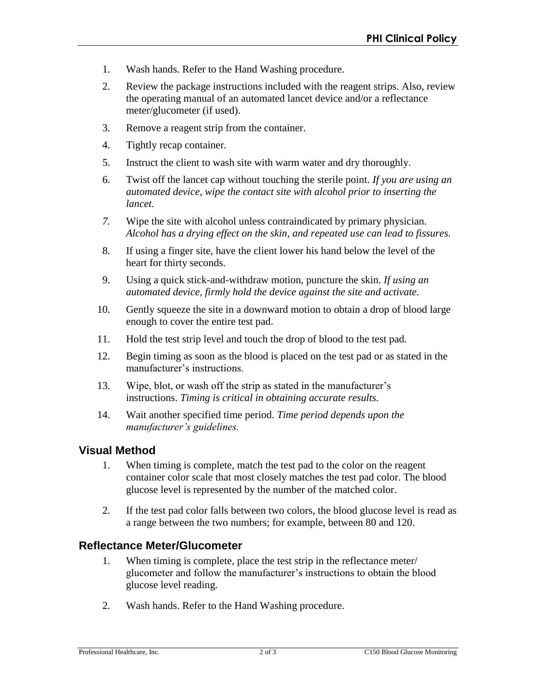- 1. Wash hands. Refer to the Hand Washing procedure.
- 2. Review the package instructions included with the reagent strips. Also, review the operating manual of an automated lancet device and/or a reflectance meter/glucometer (if used).
- 3. Remove a reagent strip from the container.
- 4. Tightly recap container.
- 5. Instruct the client to wash site with warm water and dry thoroughly.
- 6. Twist off the lancet cap without touching the sterile point. *If you are using an automated device, wipe the contact site with alcohol prior to inserting the lancet.*
- *7.* Wipe the site with alcohol unless contraindicated by primary physician. *Alcohol has a drying effect on the skin, and repeated use can lead to fissures.*
- 8. If using a finger site, have the client lower his hand below the level of the heart for thirty seconds.
- 9. Using a quick stick-and-withdraw motion, puncture the skin. *If using an automated device, firmly hold the device against the site and activate.*
- 10. Gently squeeze the site in a downward motion to obtain a drop of blood large enough to cover the entire test pad.
- 11. Hold the test strip level and touch the drop of blood to the test pad.
- 12. Begin timing as soon as the blood is placed on the test pad or as stated in the manufacturer's instructions.
- 13. Wipe, blot, or wash off the strip as stated in the manufacturer's instructions. *Timing is critical in obtaining accurate results.*
- 14. Wait another specified time period. *Time period depends upon the manufacturer's guidelines.*

# **Visual Method**

- 1. When timing is complete, match the test pad to the color on the reagent container color scale that most closely matches the test pad color. The blood glucose level is represented by the number of the matched color.
- 2. If the test pad color falls between two colors, the blood glucose level is read as a range between the two numbers; for example, between 80 and 120.

# **Reflectance Meter/Glucometer**

- 1. When timing is complete, place the test strip in the reflectance meter/ glucometer and follow the manufacturer's instructions to obtain the blood glucose level reading.
- 2. Wash hands. Refer to the Hand Washing procedure.